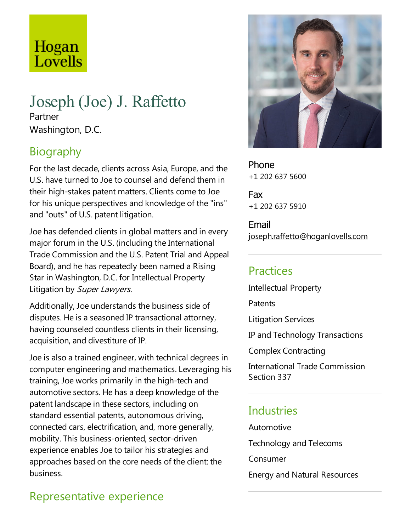# Hogan Lovells

# Joseph (Joe) J. Raffetto Partner Washington, D.C.

# **Biography**

For the last decade, clients across Asia, Europe, and the U.S. have turned to Joe to counsel and defend them in their high-stakes patent matters. Clients come to Joe for his unique perspectives and knowledge of the"ins" and "outs" of U.S. patent litigation.

Joe has defended clients in global matters and in every major forum in the U.S. (including the International Trade Commission and the U.S. Patent Trial and Appeal Board), and he has repeatedly been named a Rising Star in Washington, D.C. for Intellectual Property Litigation by Super Lawyers.

Additionally, Joe understands the business side of disputes. He is a seasoned IP transactional attorney, having counseled countless clients in their licensing, acquisition, and divestiture of IP.

Joe is also a trained engineer, with technical degrees in computer engineering and mathematics.Leveraging his training, Joe works primarily in the high-tech and automotive sectors. He has a deep knowledge of the patent landscape in these sectors, including on standard essential patents, autonomous driving, connected cars, electrification, and, more generally, mobility.This business-oriented, sector-driven experience enables Joe to tailor his strategies and approaches based on the core needs of the client: the business.

Phone +1 202 637 5600

Fax +1 202 637 5910

Email joseph.raffetto@hoganlovells.com

#### **Practices**

Intellectual Property

**Patents** 

Litigation Services

IP and Technology Transactions

Complex Contracting

International Trade Commission Section 337

#### **Industries**

Automotive Technology and Telecoms

Consumer

Energy and Natural Resources

# Representative experience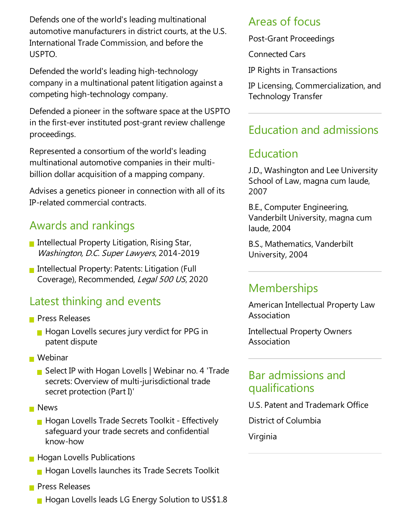Defends one of the world's leading multinational automotive manufacturers in district courts, at the U.S. International Trade Commission, and before the USPTO.

Defended the world's leading high-technology company in a multinational patent litigation against a competing high-technology company.

Defended a pioneer in the software space at the USPTO in the first-ever instituted post-grant review challenge proceedings.

Represented aconsortium of the world's leading multinational automotive companies in their multibillion dollar acquisition of a mapping company.

Advises a genetics pioneer in connection with all of its IP-related commercial contracts.

#### Awards and rankings

- Intellectual Property Litigation, Rising Star, Washington, D.C. Super Lawyers, 2014-2019
- **Intellectual Property: Patents: Litigation (Full** Coverage), Recommended, Legal 500 US, 2020

#### Latest thinking and events

- **Press Releases** 
	- **Hogan Lovells secures jury verdict for PPG in** patent dispute
- Webinar
	- Select IP with Hogan Lovells | Webinar no. 4 'Trade secrets: Overview of multi-jurisdictional trade secret protection (Part I)'
- **News** 
	- **Hogan Lovells Trade Secrets Toolkit Effectively** safeguard your trade secrets and confidential know-how
- **Hogan Lovells Publications** 
	- **Hogan Lovells launches its Trade Secrets Toolkit**
- **Press Releases** 
	- **Hogan Lovells leads LG Energy Solution to US\$1.8**

#### Areas of focus

Post-Grant Proceedings

Connected Cars

IP Rights in Transactions

IP Licensing, Commercialization, and Technology Transfer

### Education and admissions

#### Education

J.D., Washington and Lee University School of Law, magna cum laude, 2007

B.E., Computer Engineering, Vanderbilt University, magna cum laude, 2004

B.S., Mathematics, Vanderbilt University, 2004

#### **Memberships**

American Intellectual Property Law Association

Intellectual Property Owners Association

#### Bar admissions and qualifications

U.S. Patent and Trademark Office

District of Columbia

Virginia